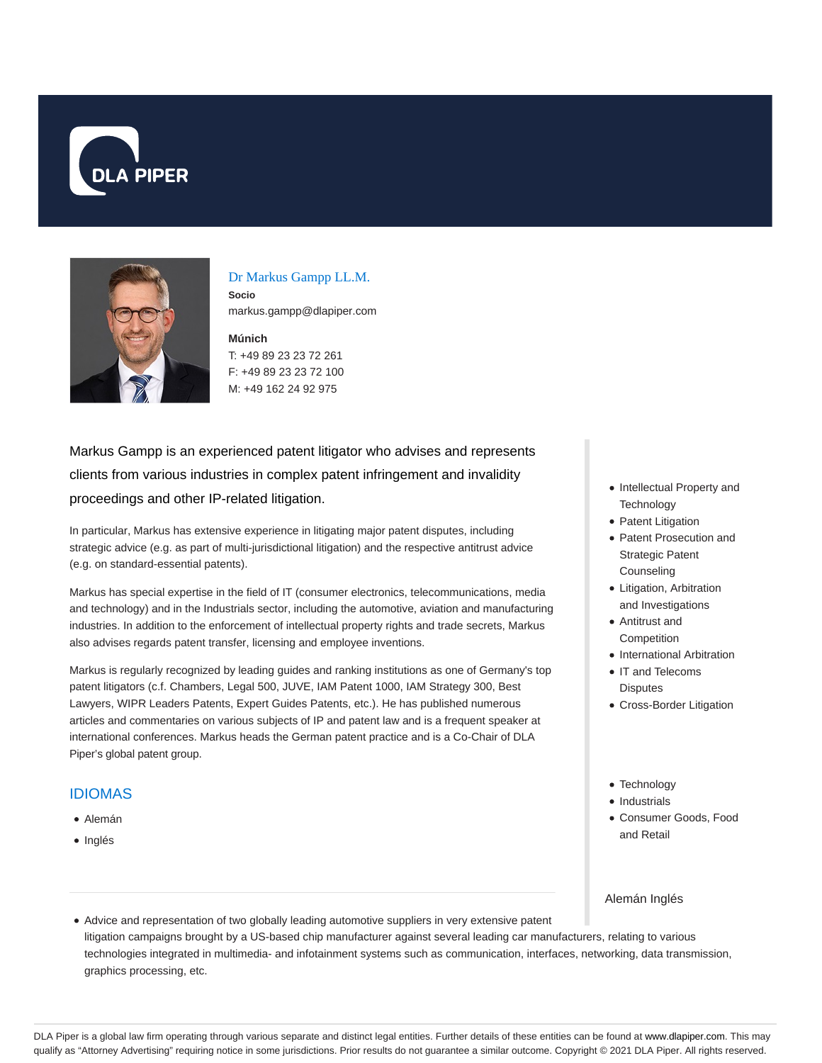



# Dr Markus Gampp LL.M.

**Socio** markus.gampp@dlapiper.com

## **Múnich** T: +49 89 23 23 72 261 F: +49 89 23 23 72 100 M: +49 162 24 92 975

Markus Gampp is an experienced patent litigator who advises and represents clients from various industries in complex patent infringement and invalidity proceedings and other IP-related litigation.

In particular, Markus has extensive experience in litigating major patent disputes, including strategic advice (e.g. as part of multi-jurisdictional litigation) and the respective antitrust advice (e.g. on standard-essential patents).

Markus has special expertise in the field of IT (consumer electronics, telecommunications, media and technology) and in the Industrials sector, including the automotive, aviation and manufacturing industries. In addition to the enforcement of intellectual property rights and trade secrets, Markus also advises regards patent transfer, licensing and employee inventions.

Markus is regularly recognized by leading guides and ranking institutions as one of Germany's top patent litigators (c.f. Chambers, Legal 500, JUVE, IAM Patent 1000, IAM Strategy 300, Best Lawyers, WIPR Leaders Patents, Expert Guides Patents, etc.). He has published numerous articles and commentaries on various subjects of IP and patent law and is a frequent speaker at international conferences. Markus heads the German patent practice and is a Co-Chair of DLA Piper's global patent group.

## IDIOMAS

- Alemán
- Inglés
- Intellectual Property and **Technology**
- Patent Litigation
- Patent Prosecution and Strategic Patent Counseling
- Litigation, Arbitration and Investigations
- Antitrust and **Competition**
- International Arbitration
- IT and Telecoms **Disputes**
- Cross-Border Litigation
- Technology
- Industrials
- Consumer Goods, Food and Retail

### Alemán Inglés

Advice and representation of two globally leading automotive suppliers in very extensive patent litigation campaigns brought by a US-based chip manufacturer against several leading car manufacturers, relating to various technologies integrated in multimedia- and infotainment systems such as communication, interfaces, networking, data transmission, graphics processing, etc.

DLA Piper is a global law firm operating through various separate and distinct legal entities. Further details of these entities can be found at www.dlapiper.com. This may qualify as "Attorney Advertising" requiring notice in some jurisdictions. Prior results do not guarantee a similar outcome. Copyright @ 2021 DLA Piper. All rights reserved.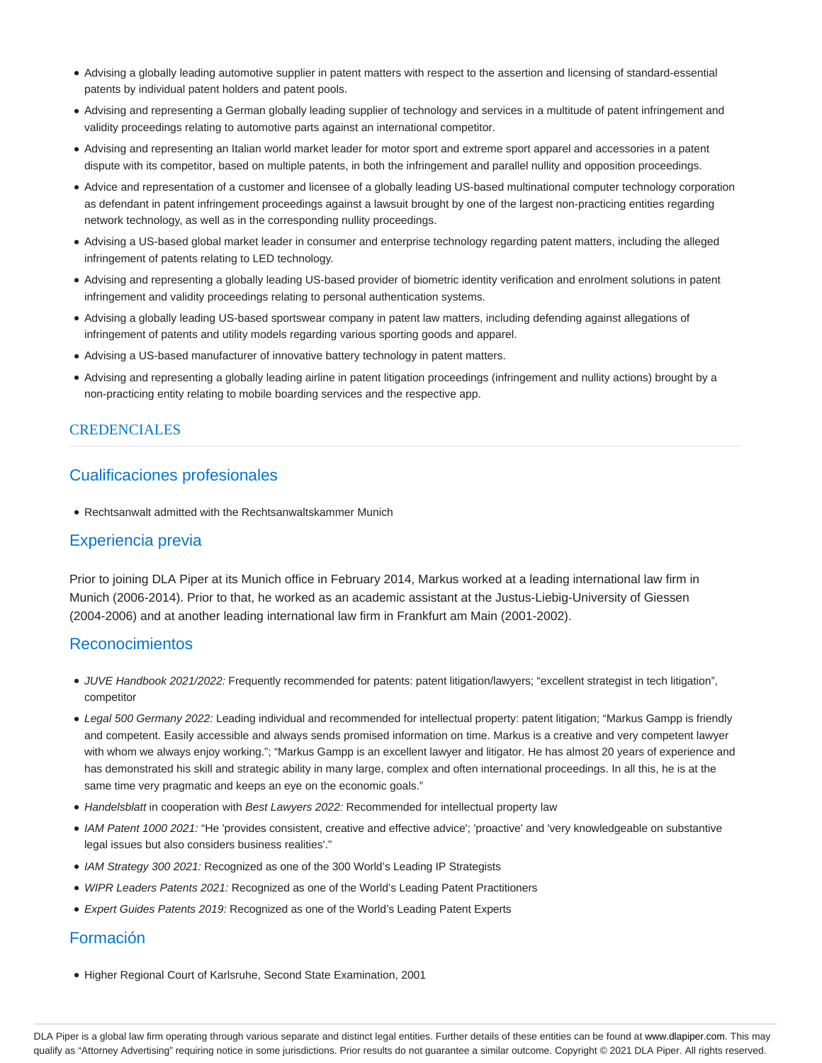- Advising a globally leading automotive supplier in patent matters with respect to the assertion and licensing of standard-essential patents by individual patent holders and patent pools.
- Advising and representing a German globally leading supplier of technology and services in a multitude of patent infringement and validity proceedings relating to automotive parts against an international competitor.
- Advising and representing an Italian world market leader for motor sport and extreme sport apparel and accessories in a patent dispute with its competitor, based on multiple patents, in both the infringement and parallel nullity and opposition proceedings.
- Advice and representation of a customer and licensee of a globally leading US-based multinational computer technology corporation as defendant in patent infringement proceedings against a lawsuit brought by one of the largest non-practicing entities regarding network technology, as well as in the corresponding nullity proceedings.
- Advising a US-based global market leader in consumer and enterprise technology regarding patent matters, including the alleged infringement of patents relating to LED technology.
- Advising and representing a globally leading US-based provider of biometric identity verification and enrolment solutions in patent infringement and validity proceedings relating to personal authentication systems.
- Advising a globally leading US-based sportswear company in patent law matters, including defending against allegations of infringement of patents and utility models regarding various sporting goods and apparel.
- Advising a US-based manufacturer of innovative battery technology in patent matters.
- Advising and representing a globally leading airline in patent litigation proceedings (infringement and nullity actions) brought by a non-practicing entity relating to mobile boarding services and the respective app.

## CREDENCIALES

# Cualificaciones profesionales

Rechtsanwalt admitted with the Rechtsanwaltskammer Munich

## Experiencia previa

Prior to joining DLA Piper at its Munich office in February 2014, Markus worked at a leading international law firm in Munich (2006-2014). Prior to that, he worked as an academic assistant at the Justus-Liebig-University of Giessen (2004-2006) and at another leading international law firm in Frankfurt am Main (2001-2002).

## Reconocimientos

- JUVE Handbook 2021/2022: Frequently recommended for patents: patent litigation/lawyers; "excellent strategist in tech litigation", competitor
- Legal 500 Germany 2022: Leading individual and recommended for intellectual property: patent litigation; "Markus Gampp is friendly and competent. Easily accessible and always sends promised information on time. Markus is a creative and very competent lawyer with whom we always enjoy working."; "Markus Gampp is an excellent lawyer and litigator. He has almost 20 years of experience and has demonstrated his skill and strategic ability in many large, complex and often international proceedings. In all this, he is at the same time very pragmatic and keeps an eye on the economic goals."
- Handelsblatt in cooperation with Best Lawyers 2022: Recommended for intellectual property law
- IAM Patent 1000 2021: "He 'provides consistent, creative and effective advice'; 'proactive' and 'very knowledgeable on substantive legal issues but also considers business realities'."
- IAM Strategy 300 2021: Recognized as one of the 300 World's Leading IP Strategists
- WIPR Leaders Patents 2021: Recognized as one of the World's Leading Patent Practitioners
- Expert Guides Patents 2019: Recognized as one of the World's Leading Patent Experts

# Formación

Higher Regional Court of Karlsruhe, Second State Examination, 2001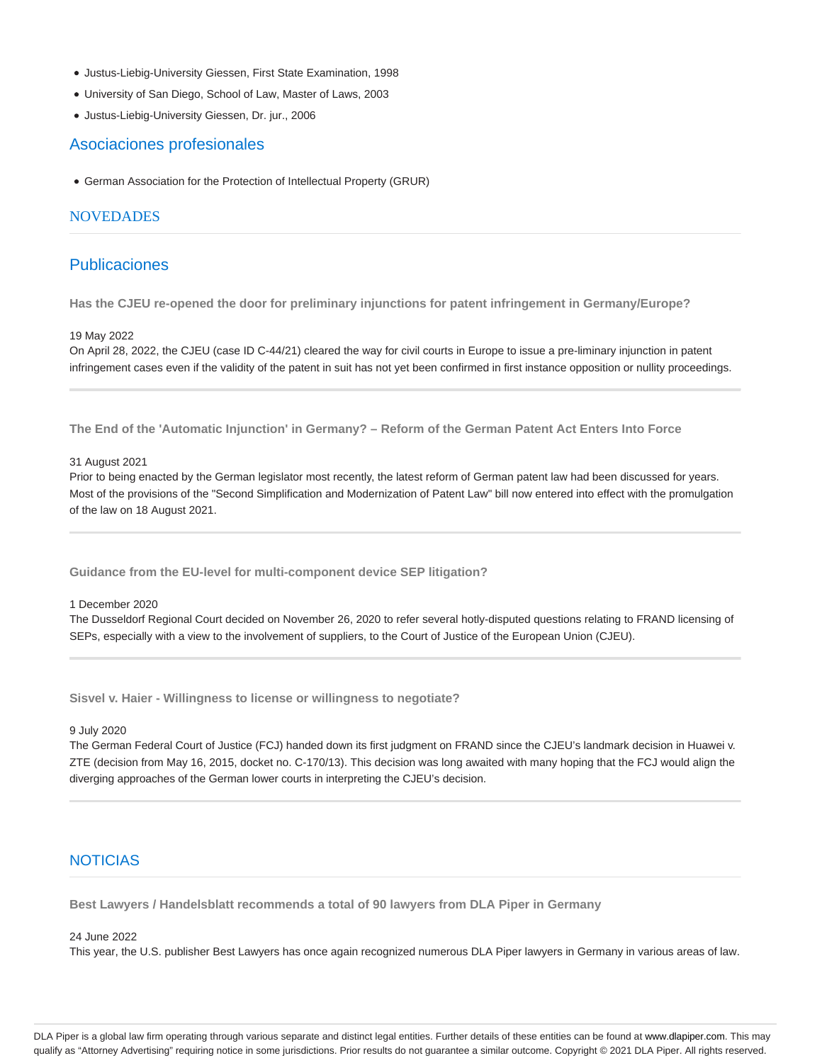- Justus-Liebig-University Giessen, First State Examination, 1998
- University of San Diego, School of Law, Master of Laws, 2003
- Justus-Liebig-University Giessen, Dr. jur., 2006

### Asociaciones profesionales

German Association for the Protection of Intellectual Property (GRUR)

### **NOVEDADES**

## Publicaciones

**Has the CJEU re-opened the door for preliminary injunctions for patent infringement in Germany/Europe?**

#### 19 May 2022

On April 28, 2022, the CJEU (case ID C-44/21) cleared the way for civil courts in Europe to issue a pre-liminary injunction in patent infringement cases even if the validity of the patent in suit has not yet been confirmed in first instance opposition or nullity proceedings.

**The End of the 'Automatic Injunction' in Germany? – Reform of the German Patent Act Enters Into Force**

#### 31 August 2021

Prior to being enacted by the German legislator most recently, the latest reform of German patent law had been discussed for years. Most of the provisions of the "Second Simplification and Modernization of Patent Law" bill now entered into effect with the promulgation of the law on 18 August 2021.

**Guidance from the EU-level for multi-component device SEP litigation?**

### 1 December 2020

The Dusseldorf Regional Court decided on November 26, 2020 to refer several hotly-disputed questions relating to FRAND licensing of SEPs, especially with a view to the involvement of suppliers, to the Court of Justice of the European Union (CJEU).

**Sisvel v. Haier - Willingness to license or willingness to negotiate?**

#### 9 July 2020

The German Federal Court of Justice (FCJ) handed down its first judgment on FRAND since the CJEU's landmark decision in Huawei v. ZTE (decision from May 16, 2015, docket no. C-170/13). This decision was long awaited with many hoping that the FCJ would align the diverging approaches of the German lower courts in interpreting the CJEU's decision.

### **NOTICIAS**

**Best Lawyers / Handelsblatt recommends a total of 90 lawyers from DLA Piper in Germany**

### 24 June 2022

This year, the U.S. publisher Best Lawyers has once again recognized numerous DLA Piper lawyers in Germany in various areas of law.

DLA Piper is a global law firm operating through various separate and distinct legal entities. Further details of these entities can be found at www.dlapiper.com. This may qualify as "Attorney Advertising" requiring notice in some jurisdictions. Prior results do not guarantee a similar outcome. Copyright @ 2021 DLA Piper. All rights reserved.